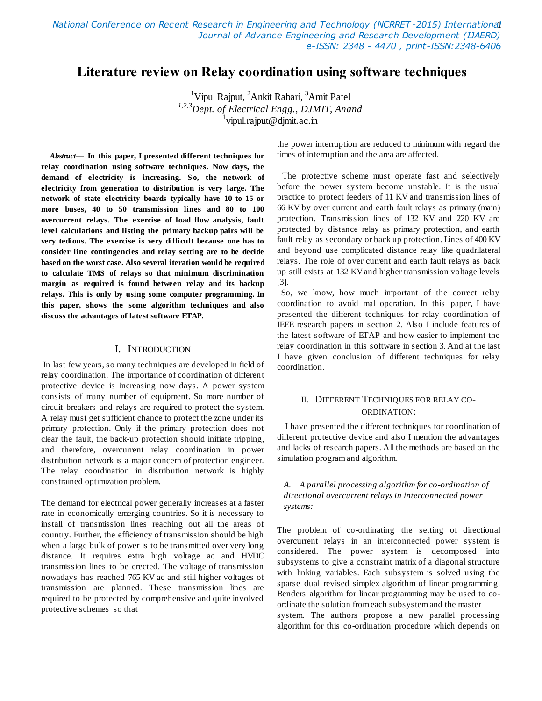*National Conference on Recent Research in Engineering and Technology (NCRRET -2015) International*  1 *Journal of Advance Engineering and Research Development (IJAERD) e-ISSN: 2348 - 4470 , print-ISSN:2348-6406*

# **Literature review on Relay coordination using software techniques**

<sup>1</sup>Vipul Rajput, <sup>2</sup>Ankit Rabari, <sup>3</sup>Amit Patel *1,2,3Dept. of Electrical Engg., DJMIT, Anand* 1 vipul.rajput@djmit.ac.in

*Abstract***— In this paper, I presented different techniques for relay coordination using software techniques. Now days, the demand of electricity is increasing. So, the network of electricity from generation to distribution is very large. The network of state electricity boards typically have 10 to 15 or more buses, 40 to 50 transmission lines and 80 to 100 overcurrent relays. The exercise of load flow analysis, fault level calculations and listing the primary backup pairs will be very tedious. The exercise is very difficult because one has to consider line contingencies and relay setting are to be decide based on the worst case. Also several iteration would be required to calculate TMS of relays so that minimum discrimination margin as required is found between relay and its backup relays. This is only by using some computer programming. In this paper, shows the some algorithm techniques and also discuss the advantages of latest software ETAP.** 

#### I. INTRODUCTION

In last few years, so many techniques are developed in field of relay coordination. The importance of coordination of different protective device is increasing now days. A power system consists of many number of equipment. So more number of circuit breakers and relays are required to protect the system. A relay must get sufficient chance to protect the zone under its primary protection. Only if the primary protection does not clear the fault, the back-up protection should initiate tripping, and therefore, overcurrent relay coordination in power distribution network is a major concern of protection engineer. The relay coordination in distribution network is highly constrained optimization problem.

The demand for electrical power generally increases at a faster rate in economically emerging countries. So it is necessary to install of transmission lines reaching out all the areas of country. Further, the efficiency of transmission should be high when a large bulk of power is to be transmitted over very long distance. It requires extra high voltage ac and HVDC transmission lines to be erected. The voltage of transmission nowadays has reached 765 KV ac and still higher voltages of transmission are planned. These transmission lines are required to be protected by comprehensive and quite involved protective schemes so that

the power interruption are reduced to minimum with regard the times of interruption and the area are affected.

The protective scheme must operate fast and selectively before the power system become unstable. It is the usual practice to protect feeders of 11 KV and transmission lines of 66 KV by over current and earth fault relays as primary (main) protection. Transmission lines of 132 KV and 220 KV are protected by distance relay as primary protection, and earth fault relay as secondary or back up protection. Lines of 400 KV and beyond use complicated distance relay like quadrilateral relays. The role of over current and earth fault relays as back up still exists at 132 KV and higher transmission voltage levels [3].

 So, we know, how much important of the correct relay coordination to avoid mal operation. In this paper, I have presented the different techniques for relay coordination of IEEE research papers in section 2. Also I include features of the latest software of ETAP and how easier to implement the relay coordination in this software in section 3. And at the last I have given conclusion of different techniques for relay coordination.

## II. DIFFERENT TECHNIQUES FOR RELAY CO-ORDINATION:

 I have presented the different techniques for coordination of different protective device and also I mention the advantages and lacks of research papers. All the methods are based on the simulation program and algorithm.

#### *A. A parallel processing algorithm for co-ordination of directional overcurrent relays in interconnected power systems:*

The problem of co-ordinating the setting of directional overcurrent relays in an interconnected power system is considered. The power system is decomposed into subsystems to give a constraint matrix of a diagonal structure with linking variables. Each subsystem is solved using the sparse dual revised simplex algorithm of linear programming. Benders algorithm for linear programming may be used to coordinate the solution from each subsystem and the master system. The authors propose a new parallel processing algorithm for this co-ordination procedure which depends on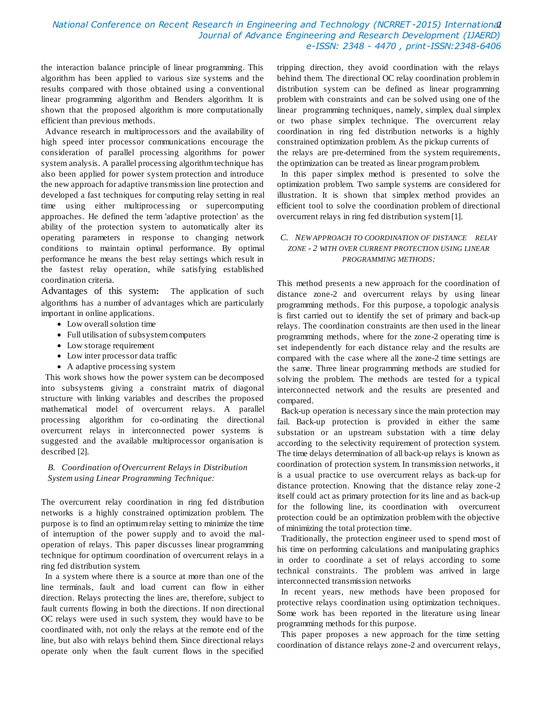## *National Conference on Recent Research in Engineering and Technology (NCRRET -2015) International*  2 *Journal of Advance Engineering and Research Development (IJAERD) e-ISSN: 2348 - 4470 , print-ISSN:2348-6406*

the interaction balance principle of linear programming. This algorithm has been applied to various size systems and the results compared with those obtained using a conventional linear programming algorithm and Benders algorithm. It is shown that the proposed algorithm is more computationally efficient than previous methods.

 Advance research in multiprocessors and the availability of high speed inter processor communications encourage the consideration of parallel processing algorithms for power system analysis. A parallel processing algorithm technique has also been applied for power system protection and introduce the new approach for adaptive transmission line protection and developed a fast techniques for computing relay setting in real time using either multiprocessing or supercomputing approaches. He defined the term 'adaptive protection' as the ability of the protection system to automatically alter its operating parameters in response to changing network conditions to maintain optimal performance. By optimal performance he means the best relay settings which result in the fastest relay operation, while satisfying established coordination criteria.

Advantages of this system**:** The application of such algorithms has a number of advantages which are particularly important in online applications.

- Low overall solution time
- Full utilisation of subsystem computers
- Low storage requirement
- Low inter processor data traffic
- A adaptive processing system

 This work shows how the power system can be decomposed into subsystems giving a constraint matrix of diagonal structure with linking variables and describes the proposed mathematical model of overcurrent relays. A parallel processing algorithm for co-ordinating the directional overcurrent relays in interconnected power systems is suggested and the available multiprocessor organisation is described [2].

#### *B. Coordination of Overcurrent Relays in Distribution System using Linear Programming Technique:*

The overcurrent relay coordination in ring fed distribution networks is a highly constrained optimization problem. The purpose is to find an optimum relay setting to minimize the time of interruption of the power supply and to avoid the maloperation of relays. This paper discusses linear programming technique for optimum coordination of overcurrent relays in a ring fed distribution system.

 In a system where there is a source at more than one of the line terminals, fault and load current can flow in either direction. Relays protecting the lines are, therefore, subject to fault currents flowing in both the directions. If non directional OC relays were used in such system, they would have to be coordinated with, not only the relays at the remote end of the line, but also with relays behind them. Since directional relays operate only when the fault current flows in the specified

tripping direction, they avoid coordination with the relays behind them. The directional OC relay coordination problem in distribution system can be defined as linear programming problem with constraints and can be solved using one of the linear programming techniques, namely, simplex, dual simplex or two phase simplex technique. The overcurrent relay coordination in ring fed distribution networks is a highly constrained optimization problem. As the pickup currents of the relays are pre-determined from the system requirements, the optimization can be treated as linear program problem.

 In this paper simplex method is presented to solve the optimization problem. Two sample systems are considered for illustration. It is shown that simplex method provides an efficient tool to solve the coordination problem of directional overcurrent relays in ring fed distribution system [1].

### *C. NEW APPROACH TO COORDINATION OF DISTANCE RELAY ZONE - 2 WITH OVER CURRENT PROTECTION USING LINEAR PROGRAMMING METHODS:*

This method presents a new approach for the coordination of distance zone-2 and overcurrent relays by using linear programming methods. For this purpose, a topologic analysis is first carried out to identify the set of primary and back-up relays. The coordination constraints are then used in the linear programming methods, where for the zone-2 operating time is set independently for each distance relay and the results are compared with the case where all the zone-2 time settings are the same. Three linear programming methods are studied for solving the problem. The methods are tested for a typical interconnected network and the results are presented and compared.

 Back-up operation is necessary since the main protection may fail. Back-up protection is provided in either the same substation or an upstream substation with a time delay according to the selectivity requirement of protection system. The time delays determination of all back-up relays is known as coordination of protection system. In transmission networks, it is a usual practice to use overcurrent relays as back-up for distance protection. Knowing that the distance relay zone-2 itself could act as primary protection for its line and as back-up for the following line, its coordination with overcurrent protection could be an optimization problem with the objective of minimizing the total protection time.

 Traditionally, the protection engineer used to spend most of his time on performing calculations and manipulating graphics in order to coordinate a set of relays according to some technical constraints. The problem was arrived in large interconnected transmission networks

 In recent years, new methods have been proposed for protective relays coordination using optimization techniques. Some work has been reported in the literature using linear programming methods for this purpose.

 This paper proposes a new approach for the time setting coordination of distance relays zone-2 and overcurrent relays,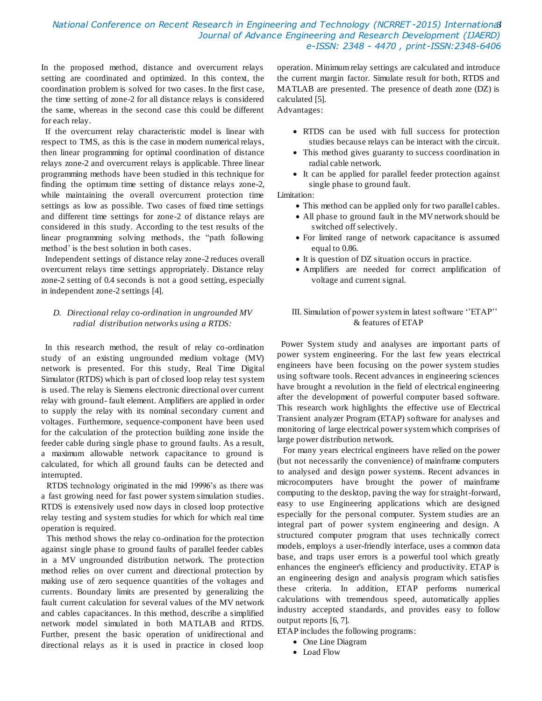### *National Conference on Recent Research in Engineering and Technology (NCRRET -2015) International*  3 *Journal of Advance Engineering and Research Development (IJAERD) e-ISSN: 2348 - 4470 , print-ISSN:2348-6406*

In the proposed method, distance and overcurrent relays setting are coordinated and optimized. In this context, the coordination problem is solved for two cases. In the first case, the time setting of zone-2 for all distance relays is considered the same, whereas in the second case this could be different for each relay.

 If the overcurrent relay characteristic model is linear with respect to TMS, as this is the case in modern numerical relays, then linear programming for optimal coordination of distance relays zone-2 and overcurrent relays is applicable. Three linear programming methods have been studied in this technique for finding the optimum time setting of distance relays zone-2, while maintaining the overall overcurrent protection time settings as low as possible. Two cases of fixed time settings and different time settings for zone-2 of distance relays are considered in this study. According to the test results of the linear programming solving methods, the "path following method" is the best solution in both cases.

 Independent settings of distance relay zone-2 reduces overall overcurrent relays time settings appropriately. Distance relay zone-2 setting of 0.4 seconds is not a good setting, especially in independent zone-2 settings [4].

### *D. Directional relay co-ordination in ungrounded MV radial distribution networks using a RTDS:*

 In this research method, the result of relay co-ordination study of an existing ungrounded medium voltage (MV) network is presented. For this study, Real Time Digital Simulator (RTDS) which is part of closed loop relay test system is used. The relay is Siemens electronic directional over current relay with ground- fault element. Amplifiers are applied in order to supply the relay with its nominal secondary current and voltages. Furthermore, sequence-component have been used for the calculation of the protection building zone inside the feeder cable during single phase to ground faults. As a result, a maximum allowable network capacitance to ground is calculated, for which all ground faults can be detected and interrupted.

RTDS technology originated in the mid 19996"s as there was a fast growing need for fast power system simulation studies. RTDS is extensively used now days in closed loop protective relay testing and system studies for which for which real time operation is required.

This method shows the relay co-ordination for the protection against single phase to ground faults of parallel feeder cables in a MV ungrounded distribution network. The protection method relies on over current and directional protection by making use of zero sequence quantities of the voltages and currents. Boundary limits are presented by generalizing the fault current calculation for several values of the MV network and cables capacitances. In this method, describe a simplified network model simulated in both MATLAB and RTDS. Further, present the basic operation of unidirectional and directional relays as it is used in practice in closed loop

operation. Minimum relay settings are calculated and introduce the current margin factor. Simulate result for both, RTDS and MATLAB are presented. The presence of death zone (DZ) is calculated [5].

Advantages:

- RTDS can be used with full success for protection studies because relays can be interact with the circuit.
- This method gives guaranty to success coordination in radial cable network.
- It can be applied for parallel feeder protection against single phase to ground fault.

Limitation:

- This method can be applied only for two parallel cables.
- All phase to ground fault in the MV network should be switched off selectively.
- For limited range of network capacitance is assumed equal to 0.86.
- It is question of DZ situation occurs in practice.
- Amplifiers are needed for correct amplification of voltage and current signal.

### III. Simulation of power system in latest software "ETAP" & features of ETAP

 Power System study and analyses are important parts of power system engineering. For the last few years electrical engineers have been focusing on the power system studies using software tools. Recent advances in engineering sciences have brought a revolution in the field of electrical engineering after the development of powerful computer based software. This research work highlights the effective use of Electrical Transient analyzer Program (ETAP) software for analyses and monitoring of large electrical power system which comprises of large power distribution network.

For many years electrical engineers have relied on the power (but not necessarily the convenience) of mainframe computers to analysed and design power systems. Recent advances in microcomputers have brought the power of mainframe computing to the desktop, paving the way for straight-forward, easy to use Engineering applications which are designed especially for the personal computer. System studies are an integral part of power system engineering and design. A structured computer program that uses technically correct models, employs a user-friendly interface, uses a common data base, and traps user errors is a powerful tool which greatly enhances the engineer's efficiency and productivity. ETAP is an engineering design and analysis program which satisfies these criteria. In addition, ETAP performs numerical calculations with tremendous speed, automatically applies industry accepted standards, and provides easy to follow output reports [6, 7].

ETAP includes the following programs:

- One Line Diagram
- Load Flow